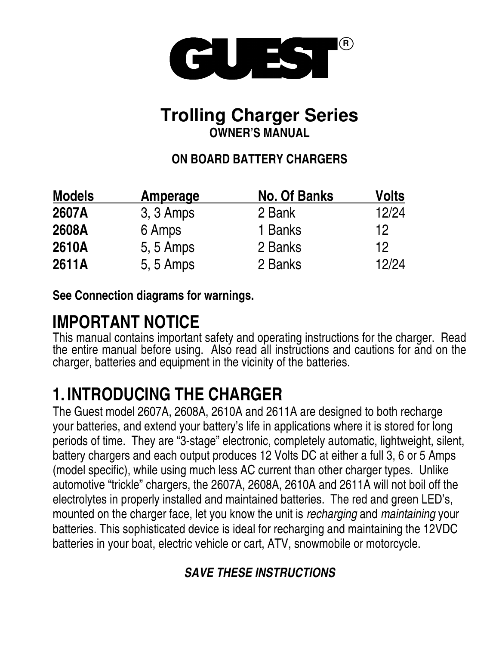

## **Trolling Charger Series OWNER'S MANUAL**

## **ON BOARD BATTERY CHARGERS**

| <b>Models</b> | Amperage  | <b>No. Of Banks</b> | Volts |
|---------------|-----------|---------------------|-------|
| 2607A         | 3, 3 Amps | 2 Bank              | 12/24 |
| 2608A         | 6 Amps    | 1 Banks             | 12    |
| 2610A         | 5, 5 Amps | 2 Banks             | 12    |
| 2611A         | 5, 5 Amps | 2 Banks             | 12/24 |

**See Connection diagrams for warnings.**

## **IMPORTANT NOTICE**

This manual contains important safety and operating instructions for the charger. Read the entire manual before using. Also read all instructions and cautions for and on the charger, batteries and equipment in the vicinity of the batteries.

## **1. INTRODUCING THE CHARGER**

The Guest model 2607A, 2608A, 2610A and 2611A are designed to both recharge your batteries, and extend your battery's life in applications where it is stored for long periods of time. They are "3-stage" electronic, completely automatic, lightweight, silent, battery chargers and each output produces 12 Volts DC at either a full 3, 6 or 5 Amps (model specific), while using much less AC current than other charger types. Unlike automotive "trickle" chargers, the 2607A, 2608A, 2610A and 2611A will not boil off the electrolytes in properly installed and maintained batteries. The red and green LED's, mounted on the charger face, let you know the unit is *recharging* and *maintaining* your batteries. This sophisticated device is ideal for recharging and maintaining the 12VDC batteries in your boat, electric vehicle or cart, ATV, snowmobile or motorcycle.

## *SAVE THESE INSTRUCTIONS*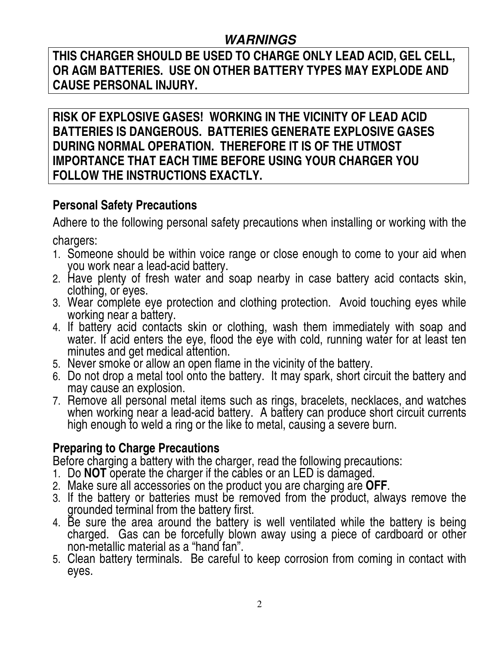### *WARNINGS*

**THIS CHARGER SHOULD BE USED TO CHARGE ONLY LEAD ACID, GEL CELL, OR AGM BATTERIES. USE ON OTHER BATTERY TYPES MAY EXPLODE AND CAUSE PERSONAL INJURY.**

**RISK OF EXPLOSIVE GASES! WORKING IN THE VICINITY OF LEAD ACID BATTERIES IS DANGEROUS. BATTERIES GENERATE EXPLOSIVE GASES DURING NORMAL OPERATION. THEREFORE IT IS OF THE UTMOST IMPORTANCE THAT EACH TIME BEFORE USING YOUR CHARGER YOU FOLLOW THE INSTRUCTIONS EXACTLY.**

## **Personal Safety Precautions**

Adhere to the following personal safety precautions when installing or working with the chargers:

- 1. Someone should be within voice range or close enough to come to your aid when you work near a lead-acid battery.
- 2. Have plenty of fresh water and soap nearby in case battery acid contacts skin, clothing, or eyes.
- 3. Wear complete eye protection and clothing protection. Avoid touching eyes while working near a battery.
- 4. If battery acid contacts skin or clothing, wash them immediately with soap and water. If acid enters the eye, flood the eye with cold, running water for at least ten minutes and get medical attention.
- 5. Never smoke or allow an open flame in the vicinity of the battery.
- 6. Do not drop a metal tool onto the battery. It may spark, short circuit the battery and may cause an explosion.
- 7. Remove all personal metal items such as rings, bracelets, necklaces, and watches when working near a lead-acid battery. A battery can produce short circuit currents high enough to weld a ring or the like to metal, causing a severe burn.

### **Preparing to Charge Precautions**

Before charging a battery with the charger, read the following precautions:

- 1. Do **NOT** operate the charger if the cables or an LED is damaged.
- 2. Make sure all accessories on the product you are charging are **OFF**.
- 3. If the battery or batteries must be removed from the product, always remove the grounded terminal from the battery first.
- 4. Be sure the area around the battery is well ventilated while the battery is being charged. Gas can be forcefully blown away using a piece of cardboard or other non-metallic material as a "hand fan".
- 5. Clean battery terminals. Be careful to keep corrosion from coming in contact with eyes.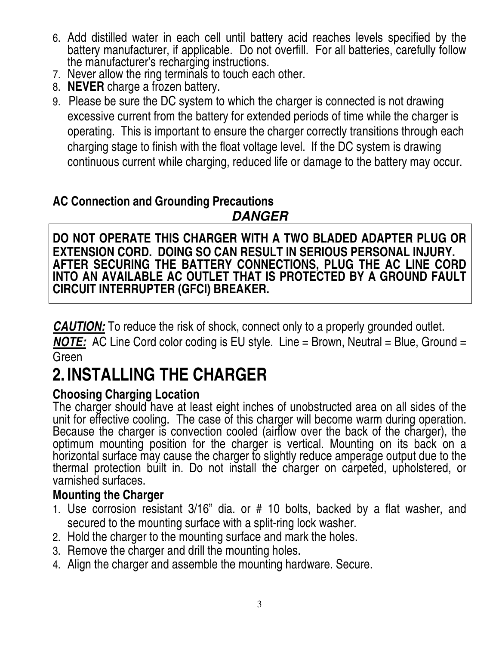- 6. Add distilled water in each cell until battery acid reaches levels specified by the battery manufacturer, if applicable. Do not overfill. For all batteries, carefully follow the manufacturer's recharging instructions.
- 7. Never allow the ring terminals to touch each other.
- 8. **NEVER** charge a frozen battery.
- 9. Please be sure the DC system to which the charger is connected is not drawing excessive current from the battery for extended periods of time while the charger is operating. This is important to ensure the charger correctly transitions through each charging stage to finish with the float voltage level. If the DC system is drawing continuous current while charging, reduced life or damage to the battery may occur.

### **AC Connection and Grounding Precautions** *DANGER*

**DO NOT OPERATE THIS CHARGER WITH A TWO BLADED ADAPTER PLUG OR EXTENSION CORD. DOING SO CAN RESULT IN SERIOUS PERSONAL INJURY. AFTER SECURING THE BATTERY CONNECTIONS, PLUG THE AC LINE CORD INTO AN AVAILABLE AC OUTLET THAT IS PROTECTED BY A GROUND FAULT CIRCUIT INTERRUPTER (GFCI) BREAKER.**

*CAUTION:* To reduce the risk of shock, connect only to a properly grounded outlet.

*NOTE:* AC Line Cord color coding is EU style. Line = Brown, Neutral = Blue, Ground = Green

# **2. INSTALLING THE CHARGER**

### **Choosing Charging Location**

The charger should have at least eight inches of unobstructed area on all sides of the unit for effective cooling. The case of this charger will become warm during operation. Because the charger is convection cooled (airflow over the back of the charger), the optimum mounting position for the charger is vertical. Mounting on its back on a horizontal surface may cause the charger to slightly reduce amperage output due to the thermal protection built in. Do not install the charger on carpeted, upholstered, or varnished surfaces.

### **Mounting the Charger**

- 1. Use corrosion resistant 3/16" dia. or # 10 bolts, backed by a flat washer, and secured to the mounting surface with a split-ring lock washer.
- 2. Hold the charger to the mounting surface and mark the holes.
- 3. Remove the charger and drill the mounting holes.
- 4. Align the charger and assemble the mounting hardware. Secure.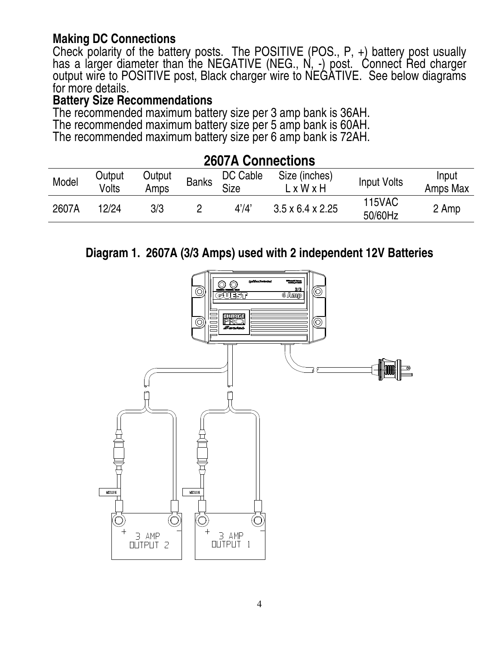### **Making DC Connections**

Check polarity of the battery posts. The POSITIVE (POS., P, +) battery post usually has a larger diameter than the NEGATIVE (NEG., N, -) post. Connect Red charger output wire to POSITIVE post, Black charger wire to NEGATIVE. See below diagrams for more details.

#### **Battery Size Recommendations**

The recommended maximum battery size per 3 amp bank is 36AH. The recommended maximum battery size per 5 amp bank is 60AH. The recommended maximum battery size per 6 amp bank is 72AH.

| <b>ZUVIA VUIIIIGUUUIIS</b> |                 |                |              |                         |                                        |                          |                   |
|----------------------------|-----------------|----------------|--------------|-------------------------|----------------------------------------|--------------------------|-------------------|
| Model                      | Output<br>Volts | Output<br>Amps | <b>Banks</b> | DC Cable<br><b>Size</b> | Size (inches)<br>$L \times W \times H$ | <b>Input Volts</b>       | Input<br>Amps Max |
| 2607A                      | 12/24           | 3/3            |              | 4'/4'                   | $3.5 \times 6.4 \times 2.25$           | <b>115VAC</b><br>50/60Hz | 2 Amp             |

**2607A Connections**

### **Diagram 1. 2607A (3/3 Amps) used with 2 independent 12V Batteries**

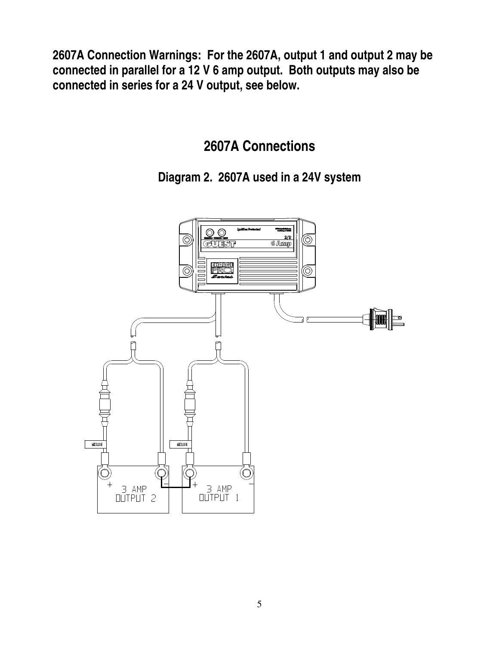**2607A Connection Warnings: For the 2607A, output 1 and output 2 may be connected in parallel for a 12 V 6 amp output. Both outputs may also be connected in series for a 24 V output, see below.**

**2607A Connections**

**Diagram 2. 2607A used in a 24V system**

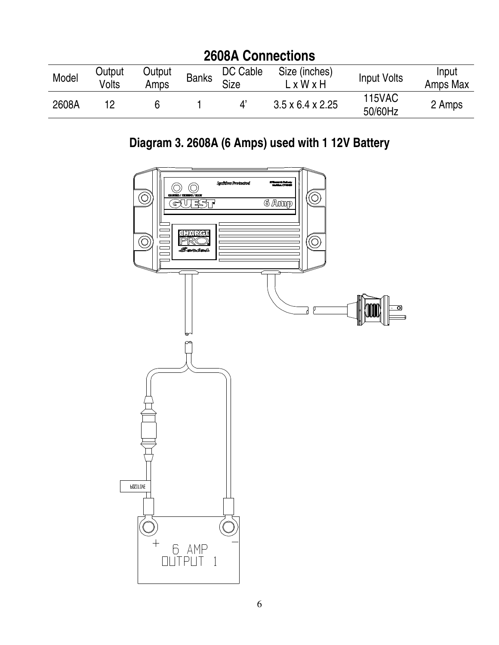| <b>2608A Connections</b> |                 |                |              |                         |                              |                          |                   |
|--------------------------|-----------------|----------------|--------------|-------------------------|------------------------------|--------------------------|-------------------|
| Model                    | Output<br>Volts | Output<br>Amps | <b>Banks</b> | DC Cable<br><b>Size</b> | Size (inches)<br>LxWxH       | Input Volts              | Input<br>Amps Max |
| 2608A                    |                 |                |              | Δ'                      | $3.5 \times 6.4 \times 2.25$ | <b>115VAC</b><br>50/60Hz | 2 Amps            |

## **Diagram 3. 2608A (6 Amps) used with 1 12V Battery**

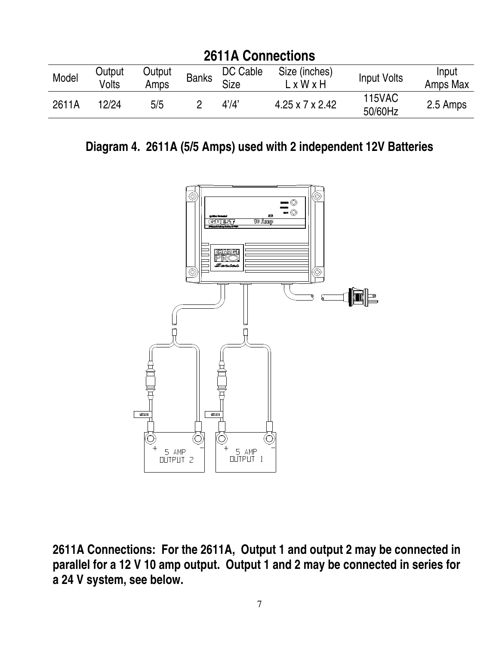| <b>2611A Connections</b> |                 |                |              |                         |                             |                          |                   |
|--------------------------|-----------------|----------------|--------------|-------------------------|-----------------------------|--------------------------|-------------------|
| Model                    | Output<br>Volts | Output<br>Amps | <b>Banks</b> | DC Cable<br><b>Size</b> | Size (inches)<br>LxWxH      | <b>Input Volts</b>       | Input<br>Amps Max |
| 2611A                    | 12/24           | 5/5            |              | 4'/4'                   | $4.25 \times 7 \times 2.42$ | <b>115VAC</b><br>50/60Hz | 2.5 Amps          |

**Diagram 4. 2611A (5/5 Amps) used with 2 independent 12V Batteries**



**2611A Connections: For the 2611A, Output 1 and output 2 may be connected in parallel for a 12 V 10 amp output. Output 1 and 2 may be connected in series for a 24 V system, see below.**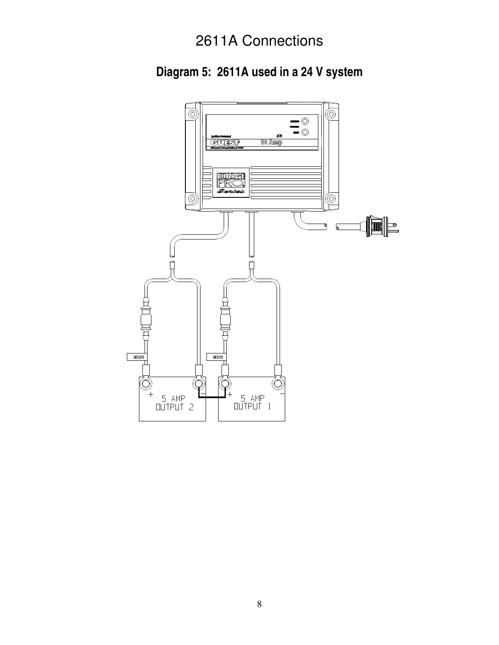## 2611A Connections

**Diagram 5: 2611A used in a 24 V system**

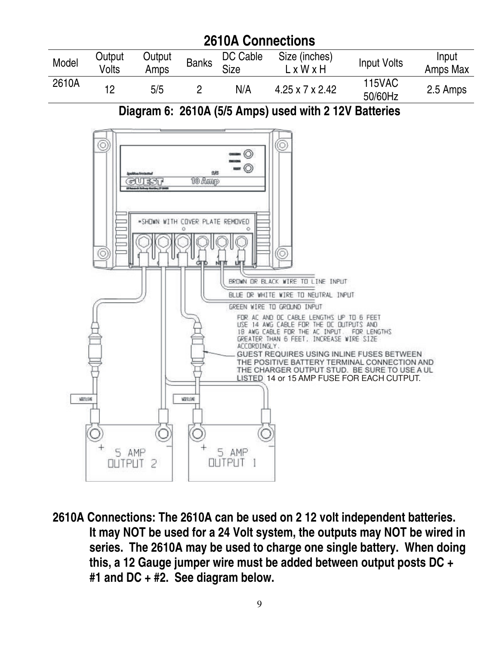

**2610A Connections: The 2610A can be used on 2 12 volt independent batteries. It may NOT be used for a 24 Volt system, the outputs may NOT be wired in series. The 2610A may be used to charge one single battery. When doing this, a 12 Gauge jumper wire must be added between output posts DC + #1 and DC + #2. See diagram below.**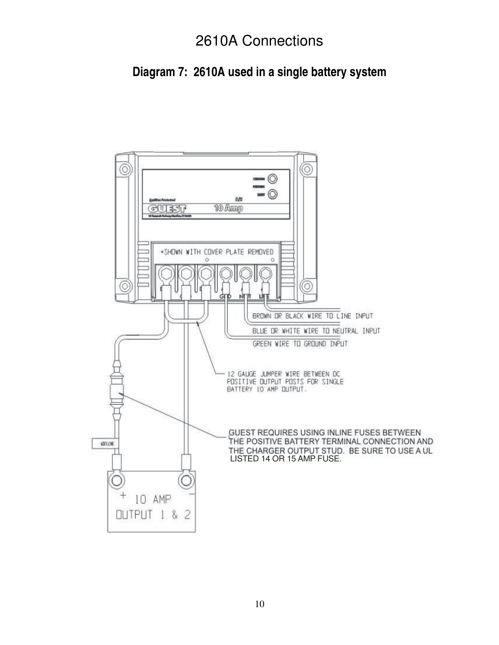## 2610A Connections

### **Diagram 7: 2610A used in a single battery system**

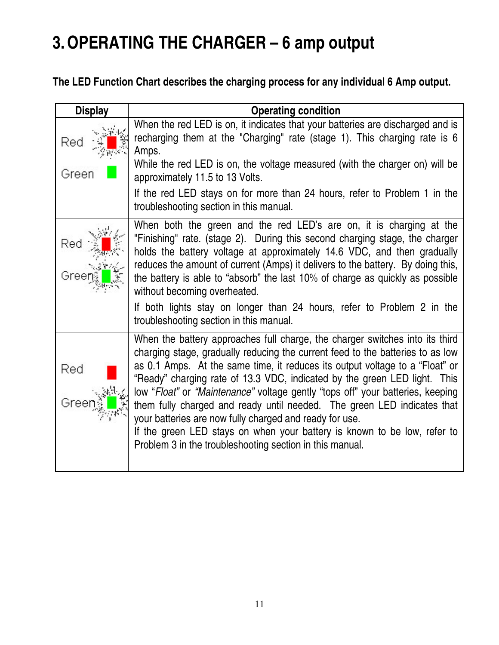## **3.OPERATING THE CHARGER – 6 amp output**

### **The LED Function Chart describes the charging process for any individual 6 Amp output.**

| <b>Display</b> | <b>Operating condition</b>                                                                                                                                                                                                                                                                                                                                                                                                                                                                                                                                                                                                                                                                  |
|----------------|---------------------------------------------------------------------------------------------------------------------------------------------------------------------------------------------------------------------------------------------------------------------------------------------------------------------------------------------------------------------------------------------------------------------------------------------------------------------------------------------------------------------------------------------------------------------------------------------------------------------------------------------------------------------------------------------|
| Red<br>Green   | When the red LED is on, it indicates that your batteries are discharged and is<br>recharging them at the "Charging" rate (stage 1). This charging rate is 6<br>Amps.<br>While the red LED is on, the voltage measured (with the charger on) will be<br>approximately 11.5 to 13 Volts.                                                                                                                                                                                                                                                                                                                                                                                                      |
|                | If the red LED stays on for more than 24 hours, refer to Problem 1 in the<br>troubleshooting section in this manual.                                                                                                                                                                                                                                                                                                                                                                                                                                                                                                                                                                        |
| Rec<br>Gree    | When both the green and the red LED's are on, it is charging at the<br>"Finishing" rate. (stage 2). During this second charging stage, the charger<br>holds the battery voltage at approximately 14.6 VDC, and then gradually<br>reduces the amount of current (Amps) it delivers to the battery. By doing this,<br>the battery is able to "absorb" the last 10% of charge as quickly as possible<br>without becoming overheated.<br>If both lights stay on longer than 24 hours, refer to Problem 2 in the<br>troubleshooting section in this manual.                                                                                                                                      |
| Red<br>Greer   | When the battery approaches full charge, the charger switches into its third<br>charging stage, gradually reducing the current feed to the batteries to as low<br>as 0.1 Amps. At the same time, it reduces its output voltage to a "Float" or<br>"Ready" charging rate of 13.3 VDC, indicated by the green LED light. This<br>low "Float" or "Maintenance" voltage gently "tops off" your batteries, keeping<br>them fully charged and ready until needed. The green LED indicates that<br>your batteries are now fully charged and ready for use.<br>If the green LED stays on when your battery is known to be low, refer to<br>Problem 3 in the troubleshooting section in this manual. |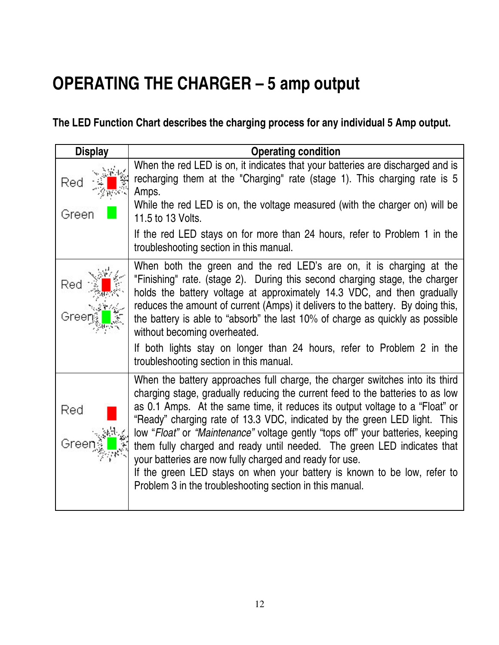## **OPERATING THE CHARGER – 5 amp output**

**The LED Function Chart describes the charging process for any individual 5 Amp output.**

| <b>Display</b> | <b>Operating condition</b>                                                                                                                                                                                                                                                                                                                                                                                                                                                                                                                                                                                                                                                                  |
|----------------|---------------------------------------------------------------------------------------------------------------------------------------------------------------------------------------------------------------------------------------------------------------------------------------------------------------------------------------------------------------------------------------------------------------------------------------------------------------------------------------------------------------------------------------------------------------------------------------------------------------------------------------------------------------------------------------------|
| Red<br>Green   | When the red LED is on, it indicates that your batteries are discharged and is<br>recharging them at the "Charging" rate (stage 1). This charging rate is 5<br>Amps.<br>While the red LED is on, the voltage measured (with the charger on) will be<br>11.5 to 13 Volts.                                                                                                                                                                                                                                                                                                                                                                                                                    |
|                | If the red LED stays on for more than 24 hours, refer to Problem 1 in the<br>troubleshooting section in this manual.                                                                                                                                                                                                                                                                                                                                                                                                                                                                                                                                                                        |
| Red<br>Greer   | When both the green and the red LED's are on, it is charging at the<br>"Finishing" rate. (stage 2). During this second charging stage, the charger<br>holds the battery voltage at approximately 14.3 VDC, and then gradually<br>reduces the amount of current (Amps) it delivers to the battery. By doing this,<br>the battery is able to "absorb" the last 10% of charge as quickly as possible<br>without becoming overheated.                                                                                                                                                                                                                                                           |
|                | If both lights stay on longer than 24 hours, refer to Problem 2 in the<br>troubleshooting section in this manual.                                                                                                                                                                                                                                                                                                                                                                                                                                                                                                                                                                           |
| Red<br>Greer   | When the battery approaches full charge, the charger switches into its third<br>charging stage, gradually reducing the current feed to the batteries to as low<br>as 0.1 Amps. At the same time, it reduces its output voltage to a "Float" or<br>"Ready" charging rate of 13.3 VDC, indicated by the green LED light. This<br>low "Float" or "Maintenance" voltage gently "tops off" your batteries, keeping<br>them fully charged and ready until needed. The green LED indicates that<br>your batteries are now fully charged and ready for use.<br>If the green LED stays on when your battery is known to be low, refer to<br>Problem 3 in the troubleshooting section in this manual. |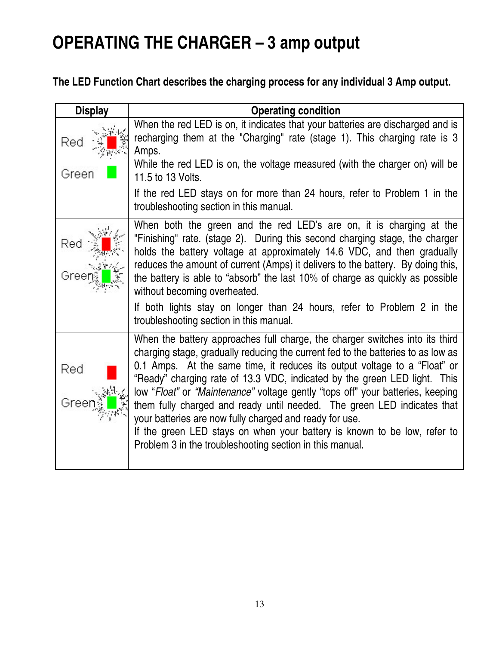## **OPERATING THE CHARGER – 3 amp output**

### **The LED Function Chart describes the charging process for any individual 3 Amp output.**

| <b>Display</b> | <b>Operating condition</b>                                                                                                                                                                                                                                                                                                                                                                                                                                                                                                                                                                                                                                                                 |
|----------------|--------------------------------------------------------------------------------------------------------------------------------------------------------------------------------------------------------------------------------------------------------------------------------------------------------------------------------------------------------------------------------------------------------------------------------------------------------------------------------------------------------------------------------------------------------------------------------------------------------------------------------------------------------------------------------------------|
| Red<br>Green   | When the red LED is on, it indicates that your batteries are discharged and is<br>recharging them at the "Charging" rate (stage 1). This charging rate is 3<br>Amps.<br>While the red LED is on, the voltage measured (with the charger on) will be<br>11.5 to 13 Volts.                                                                                                                                                                                                                                                                                                                                                                                                                   |
|                | If the red LED stays on for more than 24 hours, refer to Problem 1 in the<br>troubleshooting section in this manual.                                                                                                                                                                                                                                                                                                                                                                                                                                                                                                                                                                       |
| Rec<br>Gree    | When both the green and the red LED's are on, it is charging at the<br>"Finishing" rate. (stage 2). During this second charging stage, the charger<br>holds the battery voltage at approximately 14.6 VDC, and then gradually<br>reduces the amount of current (Amps) it delivers to the battery. By doing this,<br>the battery is able to "absorb" the last 10% of charge as quickly as possible<br>without becoming overheated.<br>If both lights stay on longer than 24 hours, refer to Problem 2 in the<br>troubleshooting section in this manual.                                                                                                                                     |
| Red<br>Greer   | When the battery approaches full charge, the charger switches into its third<br>charging stage, gradually reducing the current fed to the batteries to as low as<br>0.1 Amps. At the same time, it reduces its output voltage to a "Float" or<br>"Ready" charging rate of 13.3 VDC, indicated by the green LED light. This<br>low "Float" or "Maintenance" voltage gently "tops off" your batteries, keeping<br>them fully charged and ready until needed. The green LED indicates that<br>your batteries are now fully charged and ready for use.<br>If the green LED stays on when your battery is known to be low, refer to<br>Problem 3 in the troubleshooting section in this manual. |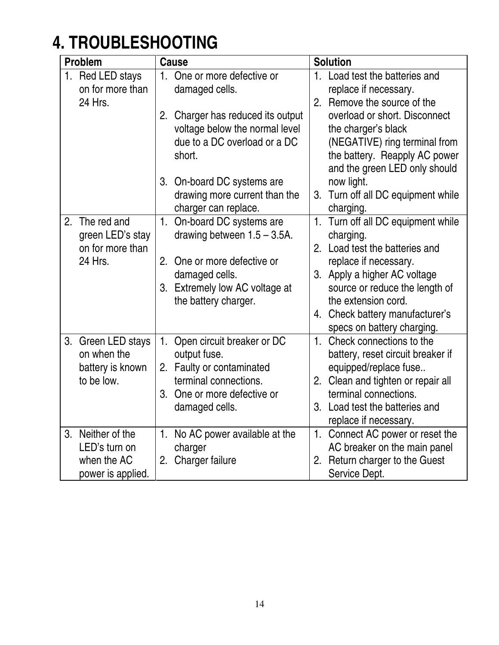# **4. TROUBLESHOOTING**

|    | <b>Problem</b>    |                | <b>Cause</b>                    |                | <b>Solution</b>                   |
|----|-------------------|----------------|---------------------------------|----------------|-----------------------------------|
|    | 1. Red LED stays  | 1 <sub>1</sub> | One or more defective or        | 1.             | Load test the batteries and       |
|    | on for more than  |                | damaged cells.                  |                | replace if necessary.             |
|    | 24 Hrs.           |                |                                 | 2.             | Remove the source of the          |
|    |                   | 2.             | Charger has reduced its output  |                | overload or short. Disconnect     |
|    |                   |                | voltage below the normal level  |                | the charger's black               |
|    |                   |                | due to a DC overload or a DC    |                | (NEGATIVE) ring terminal from     |
|    |                   |                | short.                          |                | the battery. Reapply AC power     |
|    |                   |                |                                 |                | and the green LED only should     |
|    |                   |                | 3. On-board DC systems are      |                | now light.                        |
|    |                   |                | drawing more current than the   | 3.             | Turn off all DC equipment while   |
|    |                   |                | charger can replace.            |                | charging.                         |
| 2. | The red and       | 1.             | On-board DC systems are         | 1 <sub>1</sub> | Turn off all DC equipment while   |
|    | green LED's stay  |                | drawing between $1.5 - 3.5A$ .  |                | charging.                         |
|    | on for more than  |                |                                 | 2.             | Load test the batteries and       |
|    | 24 Hrs.           | 2.             | One or more defective or        |                | replace if necessary.             |
|    |                   |                | damaged cells.                  | 3.             | Apply a higher AC voltage         |
|    |                   |                | 3. Extremely low AC voltage at  |                | source or reduce the length of    |
|    |                   |                | the battery charger.            |                | the extension cord.               |
|    |                   |                |                                 |                | 4. Check battery manufacturer's   |
|    |                   |                |                                 |                | specs on battery charging.        |
| 3. | Green LED stays   |                | 1. Open circuit breaker or DC   | $1_{-}$        | Check connections to the          |
|    | on when the       |                | output fuse.                    |                | battery, reset circuit breaker if |
|    | battery is known  |                | 2. Faulty or contaminated       |                | equipped/replace fuse             |
|    | to be low.        |                | terminal connections.           | 2.             | Clean and tighten or repair all   |
|    |                   |                | 3. One or more defective or     |                | terminal connections.             |
|    |                   |                | damaged cells.                  |                | 3. Load test the batteries and    |
|    |                   |                |                                 |                | replace if necessary.             |
| 3. | Neither of the    |                | 1. No AC power available at the | 1.             | Connect AC power or reset the     |
|    | LED's turn on     |                | charger                         |                | AC breaker on the main panel      |
|    | when the AC       |                | 2. Charger failure              | 2.             | Return charger to the Guest       |
|    | power is applied. |                |                                 |                | Service Dept.                     |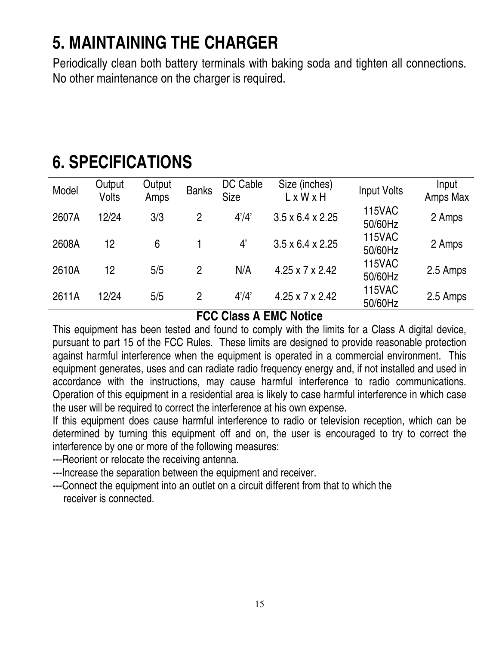## **5. MAINTAINING THE CHARGER**

Periodically clean both battery terminals with baking soda and tighten all connections. No other maintenance on the charger is required.

| Model | Output<br><b>Volts</b> | Output<br>Amps | <b>Banks</b>   | DC Cable<br><b>Size</b> | Size (inches)<br>LxWxH       | <b>Input Volts</b>       | Input<br>Amps Max |
|-------|------------------------|----------------|----------------|-------------------------|------------------------------|--------------------------|-------------------|
| 2607A | 12/24                  | 3/3            | 2              | 4'/4'                   | $3.5 \times 6.4 \times 2.25$ | <b>115VAC</b><br>50/60Hz | 2 Amps            |
| 2608A | 12                     | 6              |                | 4'                      | $3.5 \times 6.4 \times 2.25$ | <b>115VAC</b><br>50/60Hz | 2 Amps            |
| 2610A | 12                     | 5/5            | $\overline{2}$ | N/A                     | $4.25 \times 7 \times 2.42$  | <b>115VAC</b><br>50/60Hz | 2.5 Amps          |
| 2611A | 12/24                  | 5/5            | $\overline{2}$ | 4'/4'                   | $4.25 \times 7 \times 2.42$  | <b>115VAC</b><br>50/60Hz | 2.5 Amps          |

## **6. SPECIFICATIONS**

### **FCC Class A EMC Notice**

This equipment has been tested and found to comply with the limits for a Class A digital device, pursuant to part 15 of the FCC Rules. These limits are designed to provide reasonable protection against harmful interference when the equipment is operated in a commercial environment. This equipment generates, uses and can radiate radio frequency energy and, if not installed and used in accordance with the instructions, may cause harmful interference to radio communications. Operation of this equipment in a residential area is likely to case harmful interference in which case the user will be required to correct the interference at his own expense.

If this equipment does cause harmful interference to radio or television reception, which can be determined by turning this equipment off and on, the user is encouraged to try to correct the interference by one or more of the following measures:

---Reorient or relocate the receiving antenna.

---Increase the separation between the equipment and receiver.

---Connect the equipment into an outlet on a circuit different from that to which the receiver is connected.